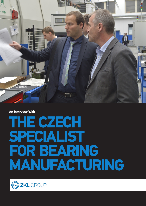

**An Interview With** 

# **THE CZECH SPECIALIST FOR BEARING MANUFACTURING**

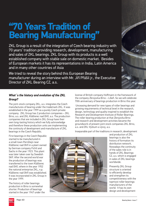# **"70 Years Tradition of Bearing Manufacturing"**

ZKL Group is a result of the integration of Czech bearing industry with 70 years' tradition providing research, development, manufacturing and sales of ZKL bearings. ZKL Group with its products is a well established company with stable sale on domestic market. Besides of European markets it has its representations in India, Latin America and in many other countries of Asia

We tried to reveal the story behind this European Bearing manufacturer during an interview with Mr. Jiří Přášil jr., the Executive Director of ZKL Bearing CZ, a.s..



# *What´s the history and evolution of the ZKL Group?*

The joint-stock company ZKL, a.s. integrates the Czech manufactures of bearing under the trademark ZKL. It was established in the year 1999 as a purely Czech private company. ZKL Group has 2 production companies – ZKL Brno, a.s. and ZKL Klášterec nad Ohří, a.s. The production companies that are included in ZKL Group have their own long-lasting history which we fully acknowledge and therefore these production units are implementing the continuity of development and manufacture of ZKL bearings in the Czech Republic.

First bearings in the Czech Republic started to be manufactured in a small town Pernštejn near Klášterec nad Ohří in a plant owned by German company Fichtl and Sachs in the year 1923. This plant was later taken over by Swedish SKF. After the second world war the production of bearings was transferred to the town Klášterec nad Ohří, where in the year 1952 the national enterprise ZKL, n.p. Klášterec nad Ohří was established. It was incorporated in ZKL Group in the year 1999.

The history of roller bearings production in Brno is somewhat shorter. Production of bearings started in the year 1947 under the a.s. and ZKL Výzkum a vývoj, a.s.

license of British company Hoffmann in the framework of the company Zbrojovka Brno – Líšeň. So we will celebrate 70th anniversary of bearings production in Brno this year.

 Unceasing demand for new types of roller bearings and growing requirements of technical level in the research, design, technology and quality inspired to establish the Research and Development Institute of Roller Bearings. The roller bearing production at that Zbrojovka Brno and research and development activities became the groundwork of present joint stock companies ZKL Brno,

Inseparable part of the traditions in research, development

and production of ZKL bearings is also the history of formation its distribution network. Nowadays the continuity of the sales role is in hands of ZKL Bearings CZ, a.s. which is engaged in sales of ZKL bearings worldwide.

Presently ZKL Group structure is oriented to efficiently develop and strengthen its competitiveness with the topmost roller bearings manufacturers of the world. It has its own design and development